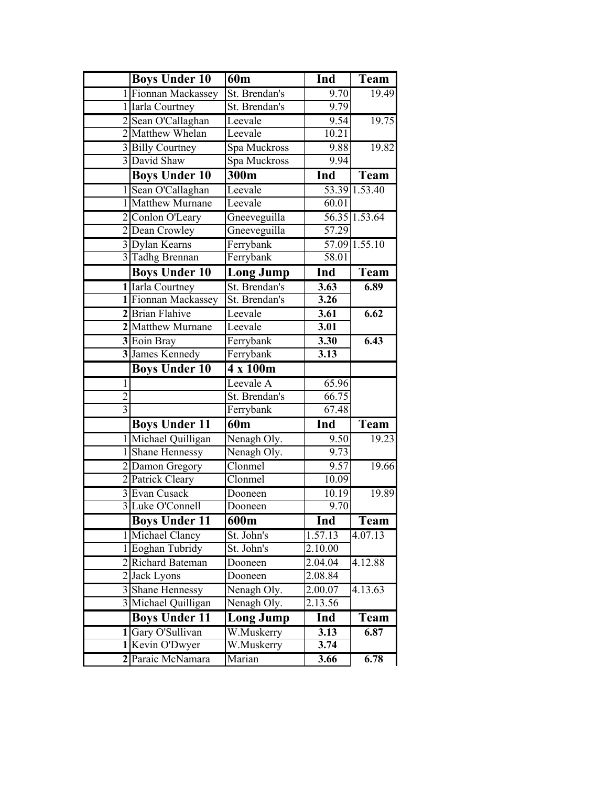|                | <b>Boys Under 10</b> | 60 <sub>m</sub>  | Ind               | Team                         |
|----------------|----------------------|------------------|-------------------|------------------------------|
|                | 1 Fionnan Mackassey  | St. Brendan's    | 9.70              | 19.49                        |
|                | 1 Iarla Courtney     | St. Brendan's    | 9.79              |                              |
|                | 2 Sean O'Callaghan   | Leevale          | 9.54              | 19.75                        |
|                | 2 Matthew Whelan     | Leevale          | 10.21             |                              |
|                | 3 Billy Courtney     | Spa Muckross     | 9.88              | 19.82                        |
|                | 3 David Shaw         | Spa Muckross     | 9.94              |                              |
|                | <b>Boys Under 10</b> | 300m             | Ind               | Team                         |
|                | 1 Sean O'Callaghan   | Leevale          |                   | $53.39$ $1.\overline{53.40}$ |
|                | 1 Matthew Murnane    | Leevale          | 60.01             |                              |
|                | 2 Conlon O'Leary     | Gneeveguilla     |                   | 56.35 1.53.64                |
|                | 2 Dean Crowley       | Gneeveguilla     | 57.29             |                              |
|                | 3 Dylan Kearns       | Ferrybank        |                   | 57.09 1.55.10                |
|                | 3 Tadhg Brennan      | Ferrybank        | 58.01             |                              |
|                | <b>Boys Under 10</b> | Long Jump        | Ind               | Team                         |
|                | 1 Iarla Courtney     | St. Brendan's    | $\overline{3.63}$ | 6.89                         |
|                | 1 Fionnan Mackassey  | St. Brendan's    | 3.26              |                              |
|                | 2 Brian Flahive      | Leevale          | 3.61              | 6.62                         |
|                | 2 Matthew Murnane    | Leevale          | 3.01              |                              |
|                | 3 Eoin Bray          | Ferrybank        | 3.30              | 6.43                         |
|                | 3 James Kennedy      | Ferrybank        | 3.13              |                              |
|                | <b>Boys Under 10</b> | 4 x 100m         |                   |                              |
| $\mathbf{1}$   |                      | Leevale A        | 65.96             |                              |
| $\overline{c}$ |                      | St. Brendan's    | 66.75             |                              |
| $\overline{3}$ |                      | Ferrybank        | 67.48             |                              |
|                | <b>Boys Under 11</b> | 60 <sub>m</sub>  | Ind               | Team                         |
|                | 1 Michael Quilligan  | Nenagh Oly.      | 9.50              | $\overline{19.23}$           |
|                | 1 Shane Hennessy     | Nenagh Oly.      | 9.73              |                              |
|                | 2 Damon Gregory      | Clonmel          | 9.57              | 19.66                        |
|                | 2 Patrick Cleary     | Clonmel          | 10.09             |                              |
|                | 3 Evan Cusack        | Dooneen          | 10.19             | 19.89                        |
|                | 3 Luke O'Connell     | Dooneen          | 9.70              |                              |
|                | <b>Boys Under 11</b> | 600m             | Ind               | <b>Team</b>                  |
|                | 1 Michael Clancy     | St. John's       | 1.57.13           | 4.07.13                      |
|                | 1 Eoghan Tubridy     | St. John's       | 2.10.00           |                              |
|                | 2 Richard Bateman    | Dooneen          | 2.04.04           | 4.12.88                      |
|                | 2 Jack Lyons         | Dooneen          | 2.08.84           |                              |
|                | 3 Shane Hennessy     | Nenagh Oly.      | 2.00.07           | 4.13.63                      |
|                | 3 Michael Quilligan  | Nenagh Oly.      | 2.13.56           |                              |
|                | <b>Boys Under 11</b> | <b>Long Jump</b> | Ind               | Team                         |
|                | 1 Gary O'Sullivan    | W.Muskerry       | 3.13              | $\overline{6.87}$            |
|                | 1 Kevin O'Dwyer      | W.Muskerry       | 3.74              |                              |
|                | 2 Paraic McNamara    | Marian           | 3.66              | 6.78                         |